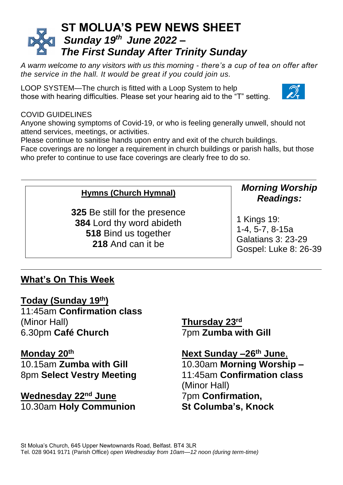# **ST MOLUA'S PEW NEWS SHEET** *Sunday 19 th June 2022 – The First Sunday After Trinity Sunday*

*A warm welcome to any visitors with us this morning - there's a cup of tea on offer after the service in the hall. It would be great if you could join us.*

LOOP SYSTEM—The church is fitted with a Loop System to help those with hearing difficulties. Please set your hearing aid to the "T" setting.

#### COVID GUIDELINES

Anyone showing symptoms of Covid-19, or who is feeling generally unwell, should not attend services, meetings, or activities.

Please continue to sanitise hands upon entry and exit of the church buildings.

Face coverings are no longer a requirement in church buildings or parish halls, but those who prefer to continue to use face coverings are clearly free to do so.

#### **Hymns (Church Hymnal)**

 Be still for the presence Lord thy word abideth Bind us together And can it be

### *Morning Worship Readings:*

1 Kings 19: 1-4, 5-7, 8-15a Galatians 3: 23-29 Gospel: Luke 8: 26-39

# **What's On This Week**

**Today (Sunday 19 th)** 11:45am **Confirmation class** (Minor Hall)

6.30pm **Café Church**

#### **Monday 20th**

10.15am **Zumba with Gill** 8pm **Select Vestry Meeting**

**Wednesday 22nd June** 10.30am **Holy Communion** **Thursday 23rd** 7pm **Zumba with Gill**

**Next Sunday –26th June**, 10.30am **Morning Worship –** 11:45am **Confirmation class** (Minor Hall) 7pm **Confirmation, St Columba's, Knock**